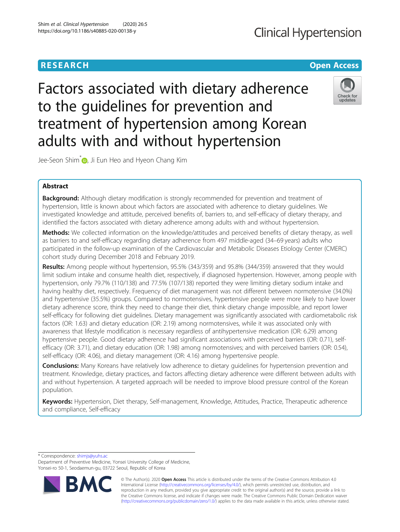### **RESEARCH CHE Open Access**

# Factors associated with dietary adherence to the guidelines for prevention and treatment of hypertension among Korean adults with and without hypertension

Jee-Seon Shim<sup>[\\*](http://orcid.org/0000-0002-8671-3153)</sup> , Ji Eun Heo and Hyeon Chang Kim

#### Abstract

**Background:** Although dietary modification is strongly recommended for prevention and treatment of hypertension, little is known about which factors are associated with adherence to dietary guidelines. We investigated knowledge and attitude, perceived benefits of, barriers to, and self-efficacy of dietary therapy, and identified the factors associated with dietary adherence among adults with and without hypertension.

Methods: We collected information on the knowledge/attitudes and perceived benefits of dietary therapy, as well as barriers to and self-efficacy regarding dietary adherence from 497 middle-aged (34–69 years) adults who participated in the follow-up examination of the Cardiovascular and Metabolic Diseases Etiology Center (CMERC) cohort study during December 2018 and February 2019.

Results: Among people without hypertension, 95.5% (343/359) and 95.8% (344/359) answered that they would limit sodium intake and consume health diet, respectively, if diagnosed hypertension. However, among people with hypertension, only 79.7% (110/138) and 77.5% (107/138) reported they were limiting dietary sodium intake and having healthy diet, respectively. Frequency of diet management was not different between normotensive (34.0%) and hypertensive (35.5%) groups. Compared to normotensives, hypertensive people were more likely to have lower dietary adherence score, think they need to change their diet, think dietary change impossible, and report lower self-efficacy for following diet guidelines. Dietary management was significantly associated with cardiometabolic risk factors (OR: 1.63) and dietary education (OR: 2.19) among normotensives, while it was associated only with awareness that lifestyle modification is necessary regardless of antihypertensive medication (OR: 6.29) among hypertensive people. Good dietary adherence had significant associations with perceived barriers (OR: 0.71), selfefficacy (OR: 3.71), and dietary education (OR: 1.98) among normotensives; and with perceived barriers (OR: 0.54), self-efficacy (OR: 4.06), and dietary management (OR: 4.16) among hypertensive people.

**Conclusions:** Many Koreans have relatively low adherence to dietary guidelines for hypertension prevention and treatment. Knowledge, dietary practices, and factors affecting dietary adherence were different between adults with and without hypertension. A targeted approach will be needed to improve blood pressure control of the Korean population.

Keywords: Hypertension, Diet therapy, Self-management, Knowledge, Attitudes, Practice, Therapeutic adherence and compliance, Self-efficacy

\* Correspondence: [shimjs@yuhs.ac](mailto:shimjs@yuhs.ac)

Department of Preventive Medicine, Yonsei University College of Medicine, Yonsei-ro 50-1, Seodaemun-gu, 03722 Seoul, Republic of Korea



© The Author(s). 2020 **Open Access** This article is distributed under the terms of the Creative Commons Attribution 4.0 International License [\(http://creativecommons.org/licenses/by/4.0/](http://creativecommons.org/licenses/by/4.0/)), which permits unrestricted use, distribution, and reproduction in any medium, provided you give appropriate credit to the original author(s) and the source, provide a link to the Creative Commons license, and indicate if changes were made. The Creative Commons Public Domain Dedication waiver [\(http://creativecommons.org/publicdomain/zero/1.0/](http://creativecommons.org/publicdomain/zero/1.0/)) applies to the data made available in this article, unless otherwise stated.

## **Clinical Hypertension**

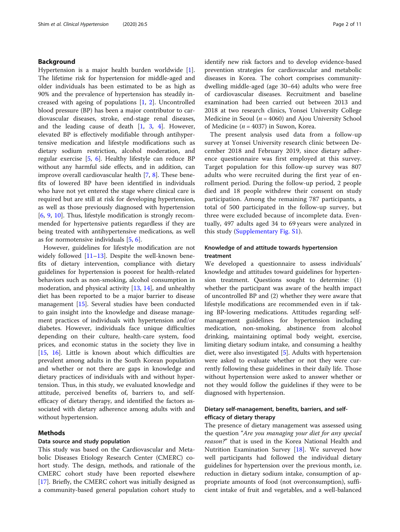#### Background

Hypertension is a major health burden worldwide [\[1](#page-9-0)]. The lifetime risk for hypertension for middle-aged and older individuals has been estimated to be as high as 90% and the prevalence of hypertension has steadily increased with ageing of populations [[1,](#page-9-0) [2\]](#page-9-0). Uncontrolled blood pressure (BP) has been a major contributor to cardiovascular diseases, stroke, end-stage renal diseases, and the leading cause of death  $[1, 3, 4]$  $[1, 3, 4]$  $[1, 3, 4]$  $[1, 3, 4]$  $[1, 3, 4]$  $[1, 3, 4]$ . However, elevated BP is effectively modifiable through antihypertensive medication and lifestyle modifications such as dietary sodium restriction, alcohol moderation, and regular exercise  $[5, 6]$  $[5, 6]$  $[5, 6]$ . Healthy lifestyle can reduce BP without any harmful side effects, and in addition, can improve overall cardiovascular health [[7,](#page-9-0) [8\]](#page-9-0). These benefits of lowered BP have been identified in individuals who have not yet entered the stage where clinical care is required but are still at risk for developing hypertension, as well as those previously diagnosed with hypertension [[6,](#page-9-0) [9](#page-9-0), [10\]](#page-9-0). Thus, lifestyle modification is strongly recommended for hypertensive patients regardless if they are being treated with antihypertensive medications, as well as for normotensive individuals [\[5](#page-9-0), [6](#page-9-0)].

However, guidelines for lifestyle modification are not widely followed  $[11–13]$  $[11–13]$  $[11–13]$  $[11–13]$  $[11–13]$ . Despite the well-known benefits of dietary intervention, compliance with dietary guidelines for hypertension is poorest for health-related behaviors such as non-smoking, alcohol consumption in moderation, and physical activity [[13](#page-9-0), [14\]](#page-9-0), and unhealthy diet has been reported to be a major barrier to disease management [[15\]](#page-9-0). Several studies have been conducted to gain insight into the knowledge and disease management practices of individuals with hypertension and/or diabetes. However, individuals face unique difficulties depending on their culture, health-care system, food prices, and economic status in the society they live in [[15,](#page-9-0) [16](#page-9-0)]. Little is known about which difficulties are prevalent among adults in the South Korean population and whether or not there are gaps in knowledge and dietary practices of individuals with and without hypertension. Thus, in this study, we evaluated knowledge and attitude, perceived benefits of, barriers to, and selfefficacy of dietary therapy, and identified the factors associated with dietary adherence among adults with and without hypertension.

#### Methods

#### Data source and study population

This study was based on the Cardiovascular and Metabolic Diseases Etiology Research Center (CMERC) cohort study. The design, methods, and rationale of the CMERC cohort study have been reported elsewhere [[17\]](#page-9-0). Briefly, the CMERC cohort was initially designed as a community-based general population cohort study to identify new risk factors and to develop evidence-based prevention strategies for cardiovascular and metabolic diseases in Korea. The cohort comprises communitydwelling middle-aged (age 30–64) adults who were free of cardiovascular diseases. Recruitment and baseline examination had been carried out between 2013 and 2018 at two research clinics, Yonsei University College Medicine in Seoul ( $n = 4060$ ) and Ajou University School of Medicine ( $n = 4037$ ) in Suwon, Korea.

The present analysis used data from a follow-up survey at Yonsei University research clinic between December 2018 and February 2019, since dietary adherence questionnaire was first employed at this survey. Target population for this follow-up survey was 807 adults who were recruited during the first year of enrollment period. During the follow-up period, 2 people died and 18 people withdrew their consent on study participation. Among the remaining 787 participants, a total of 500 participated in the follow-up survey, but three were excluded because of incomplete data. Eventually, 497 adults aged 34 to 69 years were analyzed in this study [\(Supplementary Fig. S1\)](#page-8-0).

#### Knowledge of and attitude towards hypertension treatment

We developed a questionnaire to assess individuals' knowledge and attitudes toward guidelines for hypertension treatment. Questions sought to determine: (1) whether the participant was aware of the health impact of uncontrolled BP and (2) whether they were aware that lifestyle modifications are recommended even in if taking BP-lowering medications. Attitudes regarding selfmanagement guidelines for hypertension including medication, non-smoking, abstinence from alcohol drinking, maintaining optimal body weight, exercise, limiting dietary sodium intake, and consuming a healthy diet, were also investigated [\[5](#page-9-0)]. Adults with hypertension were asked to evaluate whether or not they were currently following these guidelines in their daily life. Those without hypertension were asked to answer whether or not they would follow the guidelines if they were to be diagnosed with hypertension.

#### Dietary self-management, benefits, barriers, and selfefficacy of dietary therapy

The presence of dietary management was assessed using the question "Are you managing your diet for any special reason?" that is used in the Korea National Health and Nutrition Examination Survey [[18](#page-9-0)]. We surveyed how well participants had followed the individual dietary guidelines for hypertension over the previous month, i.e. reduction in dietary sodium intake, consumption of appropriate amounts of food (not overconsumption), sufficient intake of fruit and vegetables, and a well-balanced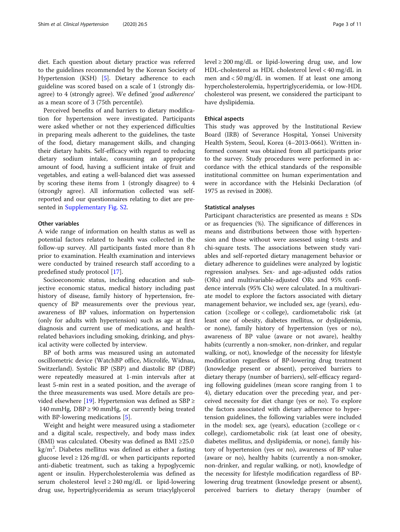diet. Each question about dietary practice was referred to the guidelines recommended by the Korean Society of Hypertension (KSH) [\[5](#page-9-0)]. Dietary adherence to each guideline was scored based on a scale of 1 (strongly disagree) to 4 (strongly agree). We defined 'good adherence' as a mean score of 3 (75th percentile).

Perceived benefits of and barriers to dietary modification for hypertension were investigated. Participants were asked whether or not they experienced difficulties in preparing meals adherent to the guidelines, the taste of the food, dietary management skills, and changing their dietary habits. Self-efficacy with regard to reducing dietary sodium intake, consuming an appropriate amount of food, having a sufficient intake of fruit and vegetables, and eating a well-balanced diet was assessed by scoring these items from 1 (strongly disagree) to 4 (strongly agree). All information collected was selfreported and our questionnaires relating to diet are presented in [Supplementary Fig. S2.](#page-8-0)

#### Other variables

A wide range of information on health status as well as potential factors related to health was collected in the follow-up survey. All participants fasted more than 8 h prior to examination. Health examination and interviews were conducted by trained research staff according to a predefined study protocol [\[17](#page-9-0)].

Socioeconomic status, including education and subjective economic status, medical history including past history of disease, family history of hypertension, frequency of BP measurements over the previous year, awareness of BP values, information on hypertension (only for adults with hypertension) such as age at first diagnosis and current use of medications, and healthrelated behaviors including smoking, drinking, and physical activity were collected by interview.

BP of both arms was measured using an automated oscillometric device (WatchBP office, Microlife, Widnau, Switzerland). Systolic BP (SBP) and diastolic BP (DBP) were repeatedly measured at 1-min intervals after at least 5-min rest in a seated position, and the average of the three measurements was used. More details are pro-vided elsewhere [[19\]](#page-9-0). Hypertension was defined as  $SBP \geq$ 140 mmHg,  $DBP \ge 90$  mmHg, or currently being treated with BP-lowering medications [[5\]](#page-9-0).

Weight and height were measured using a stadiometer and a digital scale, respectively, and body mass index (BMI) was calculated. Obesity was defined as BMI ≥25.0 kg/m<sup>2</sup>. Diabetes mellitus was defined as either a fasting glucose level  $\geq 126$  mg/dL or when participants reported anti-diabetic treatment, such as taking a hypoglycemic agent or insulin. Hypercholesterolemia was defined as serum cholesterol level  $\geq 240$  mg/dL or lipid-lowering drug use, hypertriglyceridemia as serum triacylglycerol level  $\geq 200 \text{ mg/dL}$  or lipid-lowering drug use, and low HDL-cholesterol as HDL cholesterol level < 40 mg/dL in men and < 50 mg/dL in women. If at least one among hypercholesterolemia, hypertriglyceridemia, or low-HDL cholesterol was present, we considered the participant to have dyslipidemia.

#### Ethical aspects

This study was approved by the Institutional Review Board (IRB) of Severance Hospital, Yonsei University Health System, Seoul, Korea (4–2013-0661). Written informed consent was obtained from all participants prior to the survey. Study procedures were performed in accordance with the ethical standards of the responsible institutional committee on human experimentation and were in accordance with the Helsinki Declaration (of 1975 as revised in 2008).

#### Statistical analyses

Participant characteristics are presented as means ± SDs or as frequencies (%). The significance of differences in means and distributions between those with hypertension and those without were assessed using t-tests and chi-square tests. The associations between study variables and self-reported dietary management behavior or dietary adherence to guidelines were analyzed by logistic regression analyses. Sex- and age-adjusted odds ratios (ORs) and multivariable-adjusted ORs and 95% confidence intervals (95% CIs) were calculated. In a multivariate model to explore the factors associated with dietary management behavior, we included sex, age (years), education (≥college or < college), cardiometabolic risk (at least one of obesity, diabetes mellitus, or dyslipidemia, or none), family history of hypertension (yes or no), awareness of BP value (aware or not aware), healthy habits (currently a non-smoker, non-drinker, and regular walking, or not), knowledge of the necessity for lifestyle modification regardless of BP-lowering drug treatment (knowledge present or absent), perceived barriers to dietary therapy (number of barriers), self-efficacy regarding following guidelines (mean score ranging from 1 to 4), dietary education over the preceding year, and perceived necessity for diet change (yes or no). To explore the factors associated with dietary adherence to hypertension guidelines, the following variables were included in the model: sex, age (years), education ( $\ge$ college or  $\lt$ college), cardiometabolic risk (at least one of obesity, diabetes mellitus, and dyslipidemia, or none), family history of hypertension (yes or no), awareness of BP value (aware or no), healthy habits (currently a non-smoker, non-drinker, and regular walking, or not), knowledge of the necessity for lifestyle modification regardless of BPlowering drug treatment (knowledge present or absent), perceived barriers to dietary therapy (number of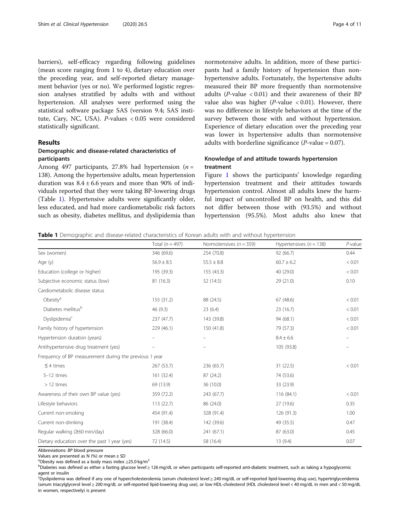barriers), self-efficacy regarding following guidelines (mean score ranging from 1 to 4), dietary education over the preceding year, and self-reported dietary management behavior (yes or no). We performed logistic regression analyses stratified by adults with and without hypertension. All analyses were performed using the statistical software package SAS (version 9.4; SAS institute, Cary, NC, USA). P-values < 0.05 were considered statistically significant.

#### Results

#### Demographic and disease-related characteristics of participants

Among 497 participants, 27.8% had hypertension  $(n =$ 138). Among the hypertensive adults, mean hypertension duration was  $8.4 \pm 6.6$  years and more than 90% of individuals reported that they were taking BP-lowering drugs (Table 1). Hypertensive adults were significantly older, less educated, and had more cardiometabolic risk factors such as obesity, diabetes mellitus, and dyslipidemia than

pants had a family history of hypertension than nonhypertensive adults. Fortunately, the hypertensive adults measured their BP more frequently than normotensive adults ( $P$ -value < 0.01) and their awareness of their BP value also was higher ( $P$ -value < 0.01). However, there was no difference in lifestyle behaviors at the time of the survey between those with and without hypertension. Experience of dietary education over the preceding year was lower in hypertensive adults than normotensive adults with borderline significance ( $P$ -value = 0.07).

#### Knowledge of and attitude towards hypertension treatment

Figure [1](#page-4-0) shows the participants' knowledge regarding hypertension treatment and their attitudes towards hypertension control. Almost all adults knew the harmful impact of uncontrolled BP on health, and this did not differ between those with (93.5%) and without hypertension (95.5%). Most adults also knew that

|  | Table 1 Demographic and disease-related characteristics of Korean adults with and without hypertension |  |  |  |  |  |  |
|--|--------------------------------------------------------------------------------------------------------|--|--|--|--|--|--|
|--|--------------------------------------------------------------------------------------------------------|--|--|--|--|--|--|

|                                                        | Total $(n = 497)$ | Normotensives ( $n = 359$ ) | Hypertensives ( $n = 138$ ) | $P$ -value |
|--------------------------------------------------------|-------------------|-----------------------------|-----------------------------|------------|
| Sex (women)                                            | 346 (69.6)        | 254 (70.8)                  | 92 (66.7)                   | 0.44       |
| Age (y)                                                | $56.9 \pm 8.5$    | $55.5 \pm 8.8$              | $60.7 \pm 6.2$              | < 0.01     |
| Education (college or higher)                          | 195 (39.3)        | 155 (43.3)                  | 40 (29.0)                   | < 0.01     |
| Subjective economic status (low)                       | 81 (16.3)         | 52 (14.5)                   | 29 (21.0)                   | 0.10       |
| Cardiometabolic disease status                         |                   |                             |                             |            |
| Obesity <sup>a</sup>                                   | 155 (31.2)        | 88 (24.5)                   | 67(48.6)                    | < 0.01     |
| Diabetes mellitus <sup>b</sup>                         | 46 (9.3)          | 23(6.4)                     | 23 (16.7)                   | < 0.01     |
| Dyslipidemia <sup>c</sup>                              | 237 (47.7)        | 143 (39.8)                  | 94 (68.1)                   | < 0.01     |
| Family history of hypertension                         | 229 (46.1)        | 150 (41.8)                  | 79 (57.3)                   | < 0.01     |
| Hypertension duration (years)                          |                   |                             | $8.4 \pm 6.6$               |            |
| Antihypertensive drug treatment (yes)                  |                   |                             | 105 (93.8)                  |            |
| Frequency of BP measurement during the previous 1 year |                   |                             |                             |            |
| $\leq$ 4 times                                         | 267 (53.7)        | 236 (65.7)                  | 31(22.5)                    | < 0.01     |
| 5-12 times                                             | 161 (32.4)        | 87 (24.2)                   | 74 (53.6)                   |            |
| > 12 times                                             | 69 (13.9)         | 36 (10.0)                   | 33 (23.9)                   |            |
| Awareness of their own BP value (yes)                  | 359 (72.2)        | 243 (67.7)                  | 116 (84.1)                  | < 0.01     |
| Lifestyle behaviors                                    | 113 (22.7)        | 86 (24.0)                   | 27 (19.6)                   | 0.35       |
| Current non-smoking                                    | 454 (91.4)        | 328 (91.4)                  | 126 (91.3)                  | 1.00       |
| Current non-drinking                                   | 191 (38.4)        | 142 (39.6)                  | 49 (35.5)                   | 0.47       |
| Regular walking (≥60 min/day)                          | 328 (66.0)        | 241 (67.1)                  | 87 (63.0)                   | 0.45       |
| Dietary education over the past 1 year (yes)           | 72 (14.5)         | 58 (16.4)                   | 13(9.4)                     | 0.07       |

Abbreviations: BP blood pressure

Values are presented as  $N$  (%) or mean  $\pm$  SD

<sup>a</sup>Obesity was defined as a body mass index ≥25.0 kg/m<sup>2</sup>

<sup>b</sup>Diabetes was defined as either a fasting glucose level ≥ 126 mg/dL or when participants self-reported anti-diabetic treatment, such as taking a hypoglycemic agent or insulin

c Dyslipidemia was defined if any one of hypercholesterolemia (serum cholesterol level ≥ 240 mg/dL or self-reported lipid-lowering drug use), hypertriglyceridemia (serum triacylglycerol level ≥ 200 mg/dL or self-reported lipid-lowering drug use), or low HDL-cholesterol (HDL cholesterol level < 40 mg/dL in men and < 50 mg/dL in women, respectively) is present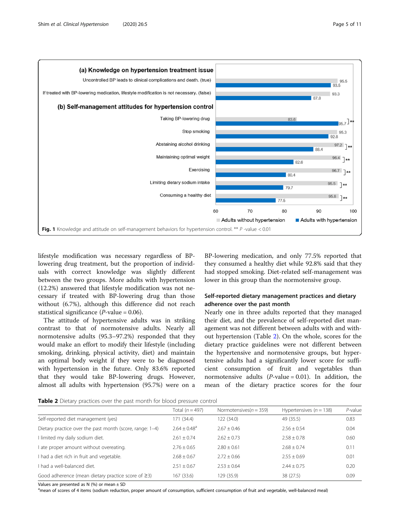<span id="page-4-0"></span>

lifestyle modification was necessary regardless of BPlowering drug treatment, but the proportion of individuals with correct knowledge was slightly different between the two groups. More adults with hypertension (12.2%) answered that lifestyle modification was not necessary if treated with BP-lowering drug than those without (6.7%), although this difference did not reach statistical significance ( $P$ -value = 0.06).

The attitude of hypertensive adults was in striking contrast to that of normotensive adults. Nearly all normotensive adults (95.3–97.2%) responded that they would make an effort to modify their lifestyle (including smoking, drinking, physical activity, diet) and maintain an optimal body weight if they were to be diagnosed with hypertension in the future. Only 83.6% reported that they would take BP-lowering drugs. However, almost all adults with hypertension (95.7%) were on a

BP-lowering medication, and only 77.5% reported that they consumed a healthy diet while 92.8% said that they had stopped smoking. Diet-related self-management was lower in this group than the normotensive group.

#### Self-reported dietary management practices and dietary adherence over the past month

Nearly one in three adults reported that they managed their diet, and the prevalence of self-reported diet management was not different between adults with and without hypertension (Table 2). On the whole, scores for the dietary practice guidelines were not different between the hypertensive and normotensive groups, but hypertensive adults had a significantly lower score for sufficient consumption of fruit and vegetables than normotensive adults  $(P-value = 0.01)$ . In addition, the mean of the dietary practice scores for the four

| Table 2 Dietary practices over the past month for blood pressure control |  |  |  |  |  |  |
|--------------------------------------------------------------------------|--|--|--|--|--|--|
|--------------------------------------------------------------------------|--|--|--|--|--|--|

|                                                          | <b>TWAIN A</b> DICTURE MACHECO OVER THE MUST HIGHER MOOD MESSURE CONTENT |                           |                           |            |  |  |  |  |
|----------------------------------------------------------|--------------------------------------------------------------------------|---------------------------|---------------------------|------------|--|--|--|--|
|                                                          | Total $(n = 497)$                                                        | Normotensives $(n = 359)$ | Hypertensives $(n = 138)$ | $P$ -value |  |  |  |  |
| Self-reported diet management (yes)                      | 71 (34.4)                                                                | 122 (34.0)                | 49 (35.5)                 | 0.83       |  |  |  |  |
| Dietary practice over the past month (score, range: 1-4) | $2.64 + 0.48$ <sup>a</sup>                                               | $2.67 + 0.46$             | $2.56 + 0.54$             | 0.04       |  |  |  |  |
| I limited my daily sodium diet.                          | $2.61 \pm 0.74$                                                          | $2.62 + 0.73$             | $2.58 + 0.78$             | 0.60       |  |  |  |  |
| ate proper amount without overeating.                    | $2.76 + 0.65$                                                            | $2.80 + 0.61$             | $2.68 + 0.74$             | 0.11       |  |  |  |  |
| had a diet rich in fruit and vegetable.                  | $2.68 \pm 0.67$                                                          | $2.72 + 0.66$             | $2.55 + 0.69$             | 0.01       |  |  |  |  |
| I had a well-balanced diet.                              | $2.51 + 0.67$                                                            | $2.53 + 0.64$             | $2.44 + 0.75$             | 0.20       |  |  |  |  |
| Good adherence (mean dietary practice score of $\geq$ 3) | 167 (33.6)                                                               | 129 (35.9)                | 38 (27.5)                 | 0.09       |  |  |  |  |

Values are presented as N (%) or mean ± SD

<sup>a</sup>mean of scores of 4 items (sodium reduction, proper amount of consumption, sufficient consumption of fruit and vegetable, well-balanced meal)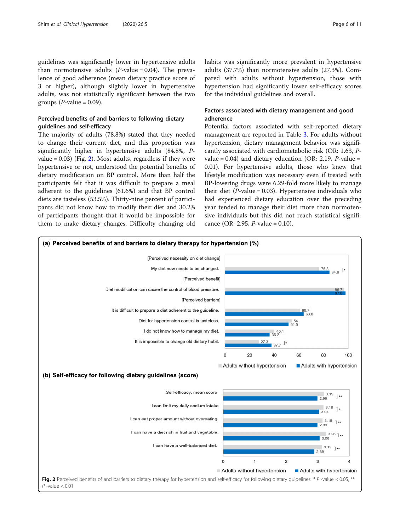guidelines was significantly lower in hypertensive adults than normotensive adults  $(P-value = 0.04)$ . The prevalence of good adherence (mean dietary practice score of 3 or higher), although slightly lower in hypertensive adults, was not statistically significant between the two groups (*P*-value =  $0.09$ ).

#### Perceived benefits of and barriers to following dietary guidelines and self-efficacy

The majority of adults (78.8%) stated that they needed to change their current diet, and this proportion was significantly higher in hypertensive adults (84.8%, Pvalue =  $0.03$ ) (Fig. 2). Most adults, regardless if they were hypertensive or not, understood the potential benefits of dietary modification on BP control. More than half the participants felt that it was difficult to prepare a meal adherent to the guidelines (61.6%) and that BP control diets are tasteless (53.5%). Thirty-nine percent of participants did not know how to modify their diet and 30.2% of participants thought that it would be impossible for them to make dietary changes. Difficulty changing old

habits was significantly more prevalent in hypertensive adults (37.7%) than normotensive adults (27.3%). Compared with adults without hypertension, those with hypertension had significantly lower self-efficacy scores for the individual guidelines and overall.

#### Factors associated with dietary management and good adherence

Potential factors associated with self-reported dietary management are reported in Table [3.](#page-6-0) For adults without hypertension, dietary management behavior was significantly associated with cardiometabolic risk (OR: 1.63, Pvalue =  $0.04$ ) and dietary education (OR: 2.19, P-value = 0.01). For hypertensive adults, those who knew that lifestyle modification was necessary even if treated with BP-lowering drugs were 6.29-fold more likely to manage their diet ( $P$ -value = 0.03). Hypertensive individuals who had experienced dietary education over the preceding year tended to manage their diet more than normotensive individuals but this did not reach statistical significance (OR: 2.95,  $P$ -value = 0.10).

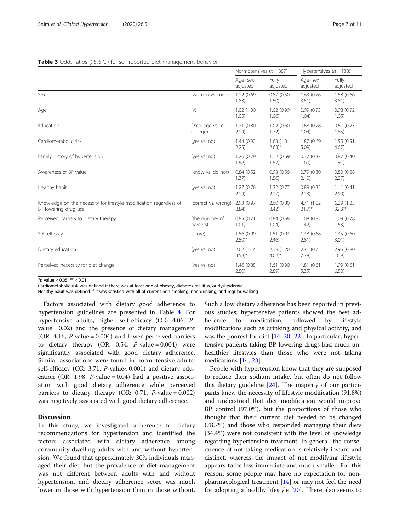#### <span id="page-6-0"></span>Table 3 Odds ratios (95% CI) for self-reported diet management behavior

|                                                                                             |                                    | Normotensives ( $n = 359$ )        |                                   | Hypertensives ( $n = 138$ )        |                                   |
|---------------------------------------------------------------------------------------------|------------------------------------|------------------------------------|-----------------------------------|------------------------------------|-----------------------------------|
|                                                                                             |                                    | Age-sex<br>adjusted                | Fully<br>adjusted                 | Age-sex<br>adjusted                | Fully<br>adjusted                 |
| Sex                                                                                         | (women vs. men)                    | 1.12(0.69,<br>1.83)                | 0.87(0.50,<br>1.50)               | 1.63(0.76,<br>3.51)                | 1.58 (0.66,<br>3.81)              |
| Age                                                                                         | (y)                                | 1.02 (1.00,<br>1.05)               | 1.02 (0.99,<br>1.06)              | 0.99(0.93,<br>1.04)                | 0.98(0.92,<br>1.05)               |
| Education                                                                                   | $( \geq$ college vs. <<br>college) | 1.31(0.80,<br>2.14)                | 1.02(0.60,<br>1.72)               | 0.68(0.28,<br>1.04)                | 0.61(0.23,<br>1.65)               |
| Cardiometabolic risk                                                                        | (yes vs. no)                       | 1.44 (0.92,<br>2.25)               | 1.63(1.01,<br>$(2.63)^*$          | 1.87 (0.69,<br>5.09                | 1.55(0.51,<br>4.67                |
| Family history of hypertension                                                              | (yes vs. no)                       | 1.26(0.79,<br>1.98)                | 1.12(0.69,<br>1.82)               | 0.77(0.37)<br>1.60)                | 0.87(0.40,<br>1.91)               |
| Awareness of BP value                                                                       | (know vs. do not)                  | 0.84(0.52,<br>1.37)                | 0.93(0.56,<br>1.56)               | 0.79(0.30,<br>2.10)                | 0.80(0.28,<br>2.27)               |
| Healthy habit                                                                               | (yes vs. no)                       | 1.27(0.76,<br>2.14)                | 1.32(0.77,<br>2.27)               | 0.89(0.35,<br>2.23)                | 1.11(0.41,<br>2.99                |
| Knowledge on the necessity for lifestyle modification regardless of<br>BP-lowering drug use | (correct vs. wrong)                | 2.93 (0.97,<br>8.84)               | 2.60 (0.80,<br>8.42)              | 4.71 (1.02,<br>$21.7$ <sup>*</sup> | 6.29(1.23,<br>$32.3$ <sup>*</sup> |
| Perceived barriers to dietary therapy                                                       | (the number of<br>barriers)        | 0.85(0.71,<br>1.01)                | 0.84(0.68,<br>1.04)               | 1.08 (0.82,<br>1.42)               | 1.09(0.78,<br>1.53)               |
| Self-efficacy                                                                               | (score)                            | 1.56 (0.99,<br>$2.50$ <sup>*</sup> | 1.51(0.93,<br>2.46)               | 1.38 (0.68,<br>2.81)               | 1.35(0.60,<br>3.01)               |
| Dietary education                                                                           | (yes vs. no)                       | 2.02(1.14,<br>$3.58$ <sup>*</sup>  | 2.19(1.20,<br>$4.02$ <sup>*</sup> | 2.31(0.72,<br>7.38)                | 2.95 (0.80,<br>10.9)              |
| Perceived necessity for diet change                                                         | (yes vs. no)                       | 1.46 (0.85,<br>2.50)               | 1.61(0.90,<br>2.89)               | 1.81(0.61,<br>5.35)                | 1.99(0.61,<br>6.50)               |

 $*$ *p* value < 0.05,  $**$  < 0.01

Cardiometabolic risk was defined if there was at least one of obesity, diabetes mellitus, or dyslipidemia

Healthy habit was defined if it was satisfied with all of current non-smoking, non-drinking, and regular walking

Factors associated with dietary good adherence to hypertension guidelines are presented in Table [4](#page-7-0). For hypertensive adults, higher self-efficacy (OR: 4.06, Pvalue  $= 0.02$ ) and the presence of dietary management (OR: 4.16, *P*-value =  $0.004$ ) and lower perceived barriers to dietary therapy (OR:  $0.54$ ,  $P$ -value =  $0.004$ ) were significantly associated with good dietary adherence. Similar associations were found in normotensive adults: self-efficacy (OR: 3.71, P-value< 0.001) and dietary education (OR: 1.98,  $P$ -value = 0.04) had a positive association with good dietary adherence while perceived barriers to dietary therapy (OR: 0.71,  $P$ -value = 0.002) was negatively associated with good dietary adherence.

#### **Discussion**

In this study, we investigated adherence to dietary recommendations for hypertension and identified the factors associated with dietary adherence among community-dwelling adults with and without hypertension. We found that approximately 30% individuals managed their diet, but the prevalence of diet management was not different between adults with and without hypertension, and dietary adherence score was much lower in those with hypertension than in those without.

Such a low dietary adherence has been reported in previous studies; hypertensive patients showed the best adherence to medication, followed by lifestyle modifications such as drinking and physical activity, and was the poorest for diet [[14](#page-9-0), [20](#page-9-0)–[22\]](#page-9-0). In particular, hypertensive patients taking BP-lowering drugs had much unhealthier lifestyles than those who were not taking medications [[14,](#page-9-0) [23\]](#page-9-0).

People with hypertension know that they are supposed to reduce their sodium intake, but often do not follow this dietary guideline [\[24](#page-9-0)]. The majority of our participants knew the necessity of lifestyle modification (91.8%) and understood that diet modification would improve BP control (97.0%), but the proportions of those who thought that their current diet needed to be changed (78.7%) and those who responded managing their diets (34.4%) were not consistent with the level of knowledge regarding hypertension treatment. In general, the consequence of not taking medication is relatively instant and distinct, whereas the impact of not modifying lifestyle appears to be less immediate and much smaller. For this reason, some people may have no expectation for nonpharmacological treatment  $[14]$  or may not feel the need for adopting a healthy lifestyle [[20\]](#page-9-0). There also seems to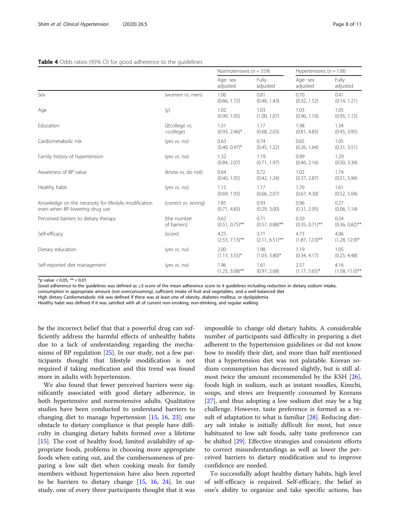<span id="page-7-0"></span>

|                                                                                         |                                                                                                                                                                                          | Normotensives ( $n = 359$ ) |                           | Hypertensives ( $n = 138$ ) |                           |
|-----------------------------------------------------------------------------------------|------------------------------------------------------------------------------------------------------------------------------------------------------------------------------------------|-----------------------------|---------------------------|-----------------------------|---------------------------|
|                                                                                         |                                                                                                                                                                                          | Age-sex<br>adjusted         | Fully<br>adjusted         | Age-sex<br>adjusted         | Fully<br>adjusted         |
| Sex                                                                                     | (women vs. men)                                                                                                                                                                          | 1.06<br>(0.66, 1.72)        | 0.81<br>(0.46, 1.43)      | 0.70<br>(0.32, 1.52)        | 0.41<br>(0.14, 1.21)      |
| Age                                                                                     | (y)                                                                                                                                                                                      | 1.02<br>(0.99, 1.05)        | 1.03<br>(1.00, 1.07)      | 1.03<br>(0.96, 1.10)        | 1.05<br>(0.95, 1.15)      |
| Education                                                                               | $(2$ college vs.<br><college)< td=""><td>1.51<br/><math>(0.93, 2.46)^*</math></td><td>1.17<br/>(0.68, 2.03)</td><td>1.98<br/>(0.81, 4.83)</td><td>1.34<br/>(0.45, 3.95)</td></college)<> | 1.51<br>$(0.93, 2.46)^*$    | 1.17<br>(0.68, 2.03)      | 1.98<br>(0.81, 4.83)        | 1.34<br>(0.45, 3.95)      |
| Cardiometabolic risk                                                                    | (yes vs. no)                                                                                                                                                                             | 0.63<br>$(0.40, 0.97)^*$    | 0.74<br>(0.45, 1.22)      | 0.65<br>(0.26, 1.64)        | 1.05<br>(0.31, 3.51)      |
| Family history of hypertension                                                          | (yes vs. no)                                                                                                                                                                             | 1.32<br>(0.84, 2.07)        | 1.19<br>(0.71, 1.97)      | 0.99<br>(0.46, 2.16)        | 1.29<br>(0.50, 3.34)      |
| Awareness of BP value                                                                   | (know vs. do not)                                                                                                                                                                        | 0.64<br>(0.40, 1.05)        | 0.72<br>(0.42, 1.24)      | 1.02<br>(0.37, 2.87)        | 1.74<br>(0.51, 5.94)      |
| Healthy habit                                                                           | (yes vs. no)                                                                                                                                                                             | 1.15<br>(0.69, 1.93)        | 1.17<br>(0.66, 2.07)      | 1.70<br>(0.67, 4.30)        | 1.61<br>(0.52, 5.04)      |
| Knowledge on the necessity for lifestyle modification<br>even when BP-lowering drug use | (correct vs. wrong)                                                                                                                                                                      | 1.85<br>(0.71, 4.83)        | 0.93<br>(0.29, 3.00)      | 0.96<br>(0.31, 2.95)        | 0.27<br>(0.06, 1.14)      |
| Perceived barriers to dietary therapy                                                   | (the number<br>of barriers)                                                                                                                                                              | 0.62<br>$(0.51, 0.75)$ **   | 0.71<br>$(0.57, 0.88)$ ** | 0.50<br>$(0.35, 0.71)$ **   | 0.54<br>$(0.36, 0.82)$ ** |
| Self-efficacy                                                                           | (score)                                                                                                                                                                                  | 4.25<br>$(2.53, 7.13)$ **   | 3.71<br>$(2.11, 6.51)$ ** | 4.73<br>$(1.87, 12.0)$ **   | 4.06<br>$(1.28, 12.9)^*$  |
| Dietary education                                                                       | (yes vs. no)                                                                                                                                                                             | 2.00<br>$(1.13, 3.55)^*$    | 1.98<br>$(1.03, 3.80)^*$  | 1.19<br>(0.34, 4.17)        | 1.05<br>(0.25, 4.48)      |
| Self-reported diet management                                                           | (yes vs. no)                                                                                                                                                                             | 1.96<br>$(1.25, 3.08)$ **   | 1.61<br>(0.97, 2.68)      | 2.57<br>$(1.17, 5.65)^*$    | 4.16<br>$(1.58, 11.0)$ ** |

 $*$ *p* value < 0.05,  $**$  < 0.01

Good adherence to the guidelines was defined as >3 score of the mean adherence score to 4 guidelines including reduction in dietary sodium intake,

consumption in appropriate amount (not overconsuming), sufficient intake of fruit and vegetables, and a well-balanced diet

High dietary Cardiometabolic risk was defined if there was at least one of obesity, diabetes mellitus, or dyslipidemia

Healthy habit was defined if it was satisfied with all of current non-smoking, non-drinking, and regular walking

be the incorrect belief that that a powerful drug can sufficiently address the harmful effects of unhealthy habits due to a lack of understanding regarding the mechanisms of BP regulation [\[25\]](#page-9-0). In our study, not a few participants thought that lifestyle modification is not required if taking medication and this trend was found more in adults with hypertension.

We also found that fewer perceived barriers were significantly associated with good dietary adherence, in both hypertensive and normotensive adults. Qualitative studies have been conducted to understand barriers to changing diet to manage hypertension [[15](#page-9-0), [16](#page-9-0), [23](#page-9-0)]; one obstacle to dietary compliance is that people have difficulty in changing dietary habits formed over a lifetime [[15\]](#page-9-0). The cost of healthy food, limited availability of appropriate foods, problems in choosing more appropriate foods when eating out, and the cumbersomeness of preparing a low salt diet when cooking meals for family members without hypertension have also been reported to be barriers to dietary change [[15,](#page-9-0) [16,](#page-9-0) [24](#page-9-0)]. In our study, one of every three participants thought that it was impossible to change old dietary habits. A considerable number of participants said difficulty in preparing a diet adherent to the hypertension guidelines or did not know how to modify their diet, and more than half mentioned that a hypertension diet was not palatable. Korean sodium consumption has decreased slightly, but is still almost twice the amount recommended by the KSH [\[26](#page-9-0)], foods high in sodium, such as instant noodles, Kimchi, soups, and stews are frequently consumed by Koreans [[27\]](#page-9-0), and thus adopting a low sodium diet may be a big challenge. However, taste preference is formed as a result of adaptation to what is familiar [\[28](#page-9-0)]. Reducing dietary salt intake is initially difficult for most, but once habituated to low salt foods, salty taste preference can be shifted [[29](#page-9-0)]. Effective strategies and consistent efforts to correct misunderstandings as well as lower the perceived barriers to dietary modification and to improve confidence are needed.

To successfully adopt healthy dietary habits, high level of self-efficacy is required. Self-efficacy, the belief in one's ability to organize and take specific actions, has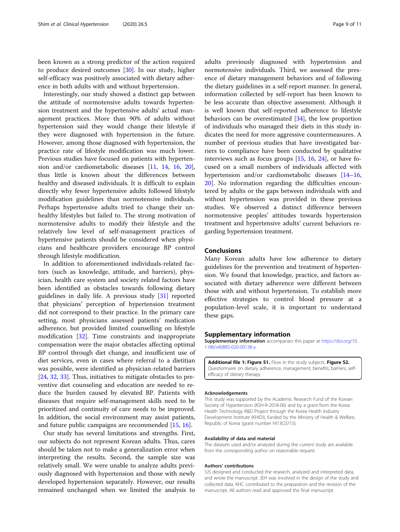<span id="page-8-0"></span>been known as a strong predictor of the action required to produce desired outcomes [\[30](#page-9-0)]. In our study, higher self-efficacy was positively associated with dietary adherence in both adults with and without hypertension.

Interestingly, our study showed a distinct gap between the attitude of normotensive adults towards hypertension treatment and the hypertensive adults' actual management practices. More than 90% of adults without hypertension said they would change their lifestyle if they were diagnosed with hypertension in the future. However, among those diagnosed with hypertension, the practice rate of lifestyle modification was much lower. Previous studies have focused on patients with hypertension and/or cardiometabolic diseases [\[11](#page-9-0), [14](#page-9-0), [16,](#page-9-0) [20](#page-9-0)], thus little is known about the differences between healthy and diseased individuals. It is difficult to explain directly why fewer hypertensive adults followed lifestyle modification guidelines than normotensive individuals. Perhaps hypertensive adults tried to change their unhealthy lifestyles but failed to. The strong motivation of normotensive adults to modify their lifestyle and the relatively low level of self-management practices of hypertensive patients should be considered when physicians and healthcare providers encourage BP control through lifestyle modification.

In addition to aforementioned individuals-related factors (such as knowledge, attitude, and barriers), physician, health care system and society related factors have been identified as obstacles towards following dietary guidelines in daily life. A previous study [\[31\]](#page-9-0) reported that physicians' perception of hypertension treatment did not correspond to their practice. In the primary care setting, most physicians assessed patients' medication adherence, but provided limited counselling on lifestyle modification [[32\]](#page-9-0). Time constraints and inappropriate compensation were the major obstacles affecting optimal BP control through diet change, and insufficient use of diet services, even in cases where referral to a dietitian was possible, were identified as physician-related barriers [[24,](#page-9-0) [32,](#page-9-0) [33](#page-10-0)]. Thus, initiatives to mitigate obstacles to preventive diet counseling and education are needed to reduce the burden caused by elevated BP. Patients with diseases that require self-management skills need to be prioritized and continuity of care needs to be improved. In addition, the social environment may assist patients, and future public campaigns are recommended [[15](#page-9-0), [16](#page-9-0)].

Our study has several limitations and strengths. First, our subjects do not represent Korean adults. Thus, cares should be taken not to make a generalization error when interpreting the results. Second, the sample size was relatively small. We were unable to analyze adults previously diagnosed with hypertension and those with newly developed hypertension separately. However, our results remained unchanged when we limited the analysis to adults previously diagnosed with hypertension and normotensive individuals. Third, we assessed the presence of dietary management behaviors and of following the dietary guidelines in a self-report manner. In general, information collected by self-report has been known to be less accurate than objective assessment. Although it is well known that self-reported adherence to lifestyle behaviors can be overestimated [\[34](#page-10-0)], the low proportion of individuals who managed their diets in this study indicates the need for more aggressive countermeasures. A number of previous studies that have investigated barriers to compliance have been conducted by qualitative interviews such as focus groups  $[15, 16, 24]$  $[15, 16, 24]$  $[15, 16, 24]$  $[15, 16, 24]$  $[15, 16, 24]$  $[15, 16, 24]$ , or have focused on a small numbers of individuals affected with hypertension and/or cardiometabolic diseases [[14](#page-9-0)–[16](#page-9-0), [20\]](#page-9-0). No information regarding the difficulties encountered by adults or the gaps between individuals with and without hypertension was provided in these previous studies. We observed a distinct difference between normotensive peoples' attitudes towards hypertension treatment and hypertensive adults' current behaviors regarding hypertension treatment.

#### Conclusions

Many Korean adults have low adherence to dietary guidelines for the prevention and treatment of hypertension. We found that knowledge, practice, and factors associated with dietary adherence were different between those with and without hypertension. To establish more effective strategies to control blood pressure at a population-level scale, it is important to understand these gaps.

#### Supplementary information

Supplementary information accompanies this paper at [https://doi.org/10.](https://doi.org/10.1186/s40885-020-00138-y) [1186/s40885-020-00138-y](https://doi.org/10.1186/s40885-020-00138-y).

Additional file 1: Figure S1. Flow in the study subjects. Figure S2. Questionnaire on dietary adherence, management, benefits, barriers, selfefficacy of dietary therapy

#### Acknowledgements

This study was supported by the Academic Research Fund of the Korean Society of Hypertension (KSH-R-2018-06) and by a grant from the Korea Health Technology R&D Project through the Korea Health Industry Development Institute (KHIDI), funded by the Ministry of Health & Welfare, Republic of Korea (grant number HI13C0715).

#### Availability of data and material

The datasets used and/or analyzed during the current study are available from the corresponding author on reasonable request.

#### Authors' contributions

SJS designed and conducted the research, analyzed and interpreted data, and wrote the manuscript. JEH was involved in the design of the study and collected data. KHC contributed to the preparation and the revision of the manuscript. All authors read and approved the final manuscript.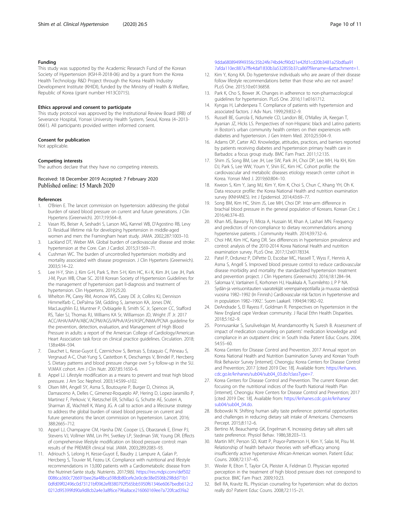#### <span id="page-9-0"></span>Funding

This study was supported by the Academic Research Fund of the Korean Society of Hypertension (KSH-R-2018-06) and by a grant from the Korea Health Technology R&D Project through the Korea Health Industry Development Institute (KHIDI), funded by the Ministry of Health & Welfare, Republic of Korea (grant number HI13C0715).

#### Ethics approval and consent to participate

This study protocol was approved by the Institutional Review Board (IRB) of Severance Hospital, Yonsei University Health System, Seoul, Korea (4–2013- 0661). All participants provided written informed consent.

#### Consent for publication

Not applicable.

#### Competing interests

The authors declare that they have no competing interests.

#### Received: 18 December 2019 Accepted: 7 February 2020 Published online: 15 March 2020

#### References

- 1. O'Brien E. The lancet commission on hypertension: addressing the global burden of raised blood pressure on current and future generations. J Clin Hypertens (Greenwich). 2017;19:564–8.
- 2. Vasan RS, Beiser A, Seshadri S, Larson MG, Kannel WB, D'Agostino RB, Levy D. Residual lifetime risk for developing hypertension in middle-aged women and men: the Framingham heart study. JAMA. 2002;287:1003–10.
- 3. Lackland DT, Weber MA. Global burden of cardiovascular disease and stroke: hypertension at the Core. Can J Cardiol. 2015;31:569–71.
- 4. Cushman WC. The burden of uncontrolled hypertension: morbidity and mortality associated with disease progression. J Clin Hypertens (Greenwich). 2003;5:14–22.
- 5. Lee H-Y, Shin J, Kim G-H, Park S, Ihm S-H, Kim HC, K-i K, Kim JH, Lee JH, Park J-M, Pyun WB, Chae SC. 2018 Korean Society of Hypertension Guidelines for the management of hypertension: part II-diagnosis and treatment of hypertension. Clin Hypertens. 2019;25:20.
- 6. Whelton PK, Carey RM, Aronow WS, Casey DE Jr, Collins KJ, Dennison Himmelfarb C, DePalma SM, Gidding S, Jamerson KA, Jones DW, MacLaughlin EJ, Muntner P, Ovbiagele B, Smith SC Jr, Spencer CC, Stafford RS, Taler SJ, Thomas RJ, Williams KA Sr, Williamson JD, Wright JT Jr. 2017 ACC/AHA/AAPA/ABC/ACPM/AGS/APhA/ASH/ASPC/NMA/PCNA guideline for the prevention, detection, evaluation, and Management of High Blood Pressure in adults: a report of the American College of Cardiology/American Heart Association task force on clinical practice guidelines. Circulation. 2018; 138:e484–594.
- 7. Dauchet L, Kesse-Guyot E, Czernichow S, Bertrais S, Estaquio C, Péneau S, Vergnaud A-C, Chat-Yung S, Castetbon K, Deschamps V, Brindel P, Hercberg S. Dietary patterns and blood pressure change over 5-y follow-up in the SU. VI.MAX cohort. Am J Clin Nutr. 2007;85:1650–6.
- 8. Appel LJ. Lifestyle modification as a means to prevent and treat high blood pressure. J Am Soc Nephrol. 2003;14:S99–s102.
- 9. Olsen MH, Angell SY, Asma S, Boutouyrie P, Burger D, Chirinos JA, Damasceno A, Delles C, Gimenez-Roqueplo AP, Hering D, Lopez-Jaramillo P, Martinez F, Perkovic V, Rietzschel ER, Schillaci G, Schutte AE, Scuteri A, Sharman JE, Wachtell K, Wang JG. A call to action and a lifecourse strategy to address the global burden of raised blood pressure on current and future generations: the lancet commission on hypertension. Lancet. 2016; 388:2665–712.
- 10. Appel LJ, Champagne CM, Harsha DW, Cooper LS, Obarzanek E, Elmer PJ, Stevens VJ, Vollmer WM, Lin PH, Svetkey LP, Stedman SW, Young DR. Effects of comprehensive lifestyle modification on blood pressure control: main results of the PREMIER clinical trial. JAMA. 2003;289:2083–93.
- 11. Adriouch S, Lelong H, Kesse-Guyot E, Baudry J, Lampure A, Galan P Hercberg S, Touvier M, Fezeu LK. Compliance with nutritional and lifestyle recommendations in 13,000 patients with a Cardiometabolic disease from the Nutrinet-Sante study. Nutrients. 2017;9(6). [https://res.mdpi.com/def502](https://res.mdpi.com/def5020086ca360c726691bee26a48bca598db80cefe2e0cde38e0506b298dd71b10dfd09f02496c0d73121bf0962ef8380792f565bb5950f61346e6067bedb612c20212d95399fd90a9d8cb2a4e3a8f6ce796a8ace216060169ee7a720fcad39a29dda6808949f49356c35b24fe74bd4cf90d21e42fd1cd20b3481a25bdfaa917afda110ec887a7ffe4daf1830b3a532855b37ca86f?filename=&attachment=1) [0086ca360c726691bee26a48bca598db80cefe2e0cde38e0506b298dd71b1](https://res.mdpi.com/def5020086ca360c726691bee26a48bca598db80cefe2e0cde38e0506b298dd71b10dfd09f02496c0d73121bf0962ef8380792f565bb5950f61346e6067bedb612c20212d95399fd90a9d8cb2a4e3a8f6ce796a8ace216060169ee7a720fcad39a29dda6808949f49356c35b24fe74bd4cf90d21e42fd1cd20b3481a25bdfaa917afda110ec887a7ffe4daf1830b3a532855b37ca86f?filename=&attachment=1) [0dfd09f02496c0d73121bf0962ef8380792f565bb5950f61346e6067bedb612c2](https://res.mdpi.com/def5020086ca360c726691bee26a48bca598db80cefe2e0cde38e0506b298dd71b10dfd09f02496c0d73121bf0962ef8380792f565bb5950f61346e6067bedb612c20212d95399fd90a9d8cb2a4e3a8f6ce796a8ace216060169ee7a720fcad39a29dda6808949f49356c35b24fe74bd4cf90d21e42fd1cd20b3481a25bdfaa917afda110ec887a7ffe4daf1830b3a532855b37ca86f?filename=&attachment=1) [0212d95399fd90a9d8cb2a4e3a8f6ce796a8ace216060169ee7a720fcad39a2](https://res.mdpi.com/def5020086ca360c726691bee26a48bca598db80cefe2e0cde38e0506b298dd71b10dfd09f02496c0d73121bf0962ef8380792f565bb5950f61346e6067bedb612c20212d95399fd90a9d8cb2a4e3a8f6ce796a8ace216060169ee7a720fcad39a29dda6808949f49356c35b24fe74bd4cf90d21e42fd1cd20b3481a25bdfaa917afda110ec887a7ffe4daf1830b3a532855b37ca86f?filename=&attachment=1)

#### [9dda6808949f49356c35b24fe74bd4cf90d21e42fd1cd20b3481a25bdfaa91](https://res.mdpi.com/def5020086ca360c726691bee26a48bca598db80cefe2e0cde38e0506b298dd71b10dfd09f02496c0d73121bf0962ef8380792f565bb5950f61346e6067bedb612c20212d95399fd90a9d8cb2a4e3a8f6ce796a8ace216060169ee7a720fcad39a29dda6808949f49356c35b24fe74bd4cf90d21e42fd1cd20b3481a25bdfaa917afda110ec887a7ffe4daf1830b3a532855b37ca86f?filename=&attachment=1) [7afda110ec887a7ffe4daf1830b3a532855b37ca86f?filename=&attachment=1](https://res.mdpi.com/def5020086ca360c726691bee26a48bca598db80cefe2e0cde38e0506b298dd71b10dfd09f02496c0d73121bf0962ef8380792f565bb5950f61346e6067bedb612c20212d95399fd90a9d8cb2a4e3a8f6ce796a8ace216060169ee7a720fcad39a29dda6808949f49356c35b24fe74bd4cf90d21e42fd1cd20b3481a25bdfaa917afda110ec887a7ffe4daf1830b3a532855b37ca86f?filename=&attachment=1).

- 12. Kim Y, Kong KA. Do hypertensive individuals who are aware of their disease follow lifestyle recommendations better than those who are not aware? PLoS One. 2015;10:e0136858.
- 13. Park K, Cho S, Bower JK. Changes in adherence to non-pharmacological guidelines for hypertension. PLoS One. 2016;11:e0161712.
- 14. Kyngas H, Lahdenpera T. Compliance of patients with hypertension and associated factors. J Adv Nurs. 1999;29:832–9.
- 15. Russell BE, Gurrola E, Ndumele CD, Landon BE, O'Malley JA, Keegan T, Ayanian JZ, Hicks LS. Perspectives of non-Hispanic black and Latino patients in Boston's urban community health centers on their experiences with diabetes and hypertension. J Gen Intern Med. 2010;25:504–9.
- 16. Adams OP, Carter AO. Knowledge, attitudes, practices, and barriers reported by patients receiving diabetes and hypertension primary health care in Barbados: a focus group study. BMC Fam Pract. 2011;12:135.
- 17. Shim JS, Song BM, Lee JH, Lee SW, Park JH, Choi DP, Lee MH, Ha KH, Kim DJ, Park S, Lee WW, Youm Y, Shin EC, Kim HC. Cohort profile: the cardiovascular and metabolic diseases etiology research center cohort in Korea. Yonsei Med J. 2019;60:804–10.
- 18. Kweon S, Kim Y, Jang MJ, Kim Y, Kim K, Choi S, Chun C, Khang YH, Oh K. Data resource profile: the Korea National Health and nutrition examination survey (KNHANES). Int J Epidemiol. 2014;43:69–77.
- 19. Song BM, Kim HC, Shim JS, Lee MH, Choi DP. Inter-arm difference in brachial blood pressure in the general population of Koreans. Korean Circ J. 2016;46:374–83.
- 20. Khan MS, Bawany FI, Mirza A, Hussain M, Khan A, Lashari MN. Frequency and predictors of non-compliance to dietary recommendations among hypertensive patients. J Community Health. 2014;39:732–6.
- 21. Choi HM, Kim HC, Kang DR. Sex differences in hypertension prevalence and control: analysis of the 2010-2014 Korea National Health and nutrition examination survey. PLoS One. 2017;12:e0178334.
- 22. Patel P, Ordunez P, DiPette D, Escobar MC, Hassell T, Wyss F, Hennis A, Asma S, Angell S. Improved blood pressure control to reduce cardiovascular disease morbidity and mortality: the standardized hypertension treatment and prevention project. J Clin Hypertens (Greenwich). 2016;18:1284–94.
- 23. Salomaa V, Vartiainen E, Korhonen HJ, Haukkala A, Tuomilehto J, P P NA. Sydän-ja verisuonitautien vaaratekijät verenpainepotilailla ja muussa väestössä vuosina 1982–1992 (In Finnish.) Cardiovascular risk factors in hypertensive and in population 1982–1992.'. Suom Laakaril. 1994;94:1982–92.
- 24. DeAndrade S, El Rayess F, Goldman R. Perspectives on hypertension in the New England cape Verdean community. J Racial Ethn Health Disparities. 2018;5:162–9.
- 25. Ponnusankar S, Surulivelrajan M, Anandamoorthy N, Suresh B. Assessment of impact of medication counseling on patients' medication knowledge and compliance in an outpatient clinic in South India. Patient Educ Couns. 2004; 54:55–60.
- 26. Korea Centers for Disease Control and Prevention. 2017 Annual report on Korea National Health and Nutrition Examination Survey and Korean Youth Risk Behavior Survey [internet]. Cheongju: Korea Centers for Disease Control and Prevention; 2017 [cited 2019 Dec 18]. Available from: [https://knhanes.](https://knhanes.cdc.go.kr/knhanes/sub04/sub04_03.do?classType=7) [cdc.go.kr/knhanes/sub04/sub04\\_03.do?classType=7.](https://knhanes.cdc.go.kr/knhanes/sub04/sub04_03.do?classType=7)
- 27. Korea Centers for Disease Control and Prevention. The current Korean diet: focusing on the nutritional indices of the fourth National Health Plan [internet]. Cheongju: Kore Centers for Disease Control and Prevention; 2017 [cited 2019 Dec 18]. Available from: [https://knhanes.cdc.go.kr/knhanes/](https://knhanes.cdc.go.kr/knhanes/sub04/sub04_04.do) [sub04/sub04\\_04.do](https://knhanes.cdc.go.kr/knhanes/sub04/sub04_04.do).
- 28. Bobowski N. Shifting human salty taste preference: potential opportunities and challenges in reducing dietary salt intake of Americans. Chemosens Percept. 2015;8:112–6.
- Bertino M, Beauchamp GK, Engelman K. Increasing dietary salt alters salt taste preference. Physiol Behav. 1986;38:203–13.
- 30. Martin MY, Person SD, Kratt P, Prayor-Patterson H, Kim Y, Salas M, Pisu M. Relationship of health behavior theories with self-efficacy among insufficiently active hypertensive African-American women. Patient Educ Couns. 2008;72:137–45.
- 31. Wexler R, Elton T, Taylor CA, Pleister A, Feldman D. Physician reported perception in the treatment of high blood pressure does not correspond to practice. BMC Fam Pract. 2009;10:23.
- 32. Bell RA, Kravitz RL. Physician counseling for hypertension: what do doctors really do? Patient Educ Couns. 2008;72:115–21.